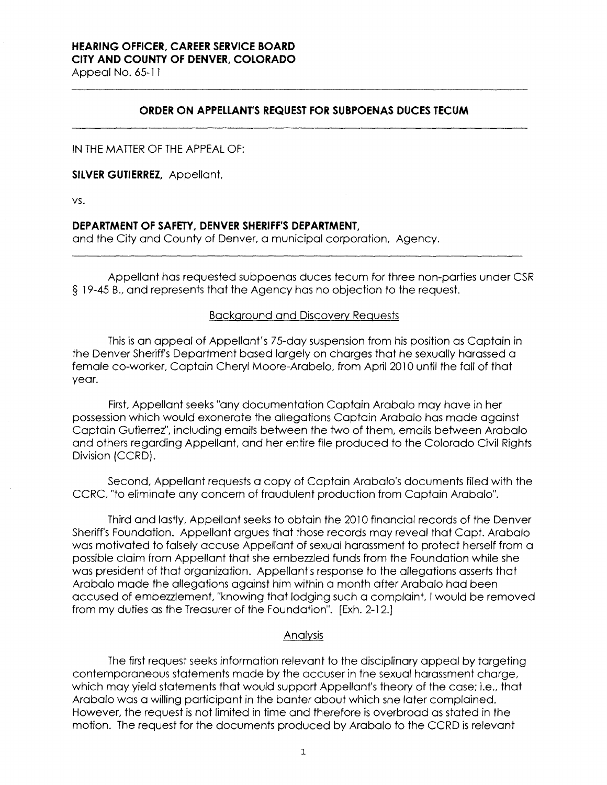# **HEARING OFFICER, CAREER SERVICE BOARD CITY AND COUNTY OF DENVER, COLORADO**

Appeal No. 65-11

## **ORDER ON APPELLANTS REQUEST FOR SUBPOENAS DUCES TECUM**

IN THE MATTER OF THE APPEAL OF:

**SILVER GUTIERREZ,** Appellant,

vs.

#### **DEPARTMENT OF SAFETY, DENVER SHERIFF'S DEPARTMENT,**

and the City and County of Denver, a municipal corporation, Agency.

Appellant has requested subpoenas duces tecum for three non-parties under CSR § 19-45 8., and represents that the Agency has no objection to the request.

#### Background and Discovery Requests

This is an appeal of Appellant's 75-day suspension from his position as Captain in the Denver Sheriff's Department based largely on charges that he sexually harassed a female co-worker, Captain Cheryl Moore-Arabela, from April 2010 until the fall of that year.

First, Appellant seeks "any documentation Captain Arabalo may have in her possession which would exonerate the allegations Captain Arebalo has made against Captain Gutierrez'', including emails between the two of them, emails between Arabalo and others regarding Appellant, and her entire file produced to the Colorado Civil Rights Division (CCRD).

Second, Appellant requests a copy of Captain Arabalo's documents filed with the CCRC, "to eliminate any concern of fraudulent production from Captain Arabalo".

Third and lastly, Appellant seeks to obtain the 2010 financial records of the Denver Sheriff's Foundation. Appellant argues that those records may reveal that Capt. Arabalo was motivated to falsely accuse Appellant of sexual harassment to protect herself from a possible claim from Appellant that she embezzled funds from the Foundation while she was president of that organization. Appellant's response to the allegations asserts that Arabalo made the allegations against him within a month after Arabalo had been accused of embezzlement, "knowing that lodging such a complaint, I would be removed from my duties as the Treasurer of the Foundation". [Exh. 2-12.]

## Analysis

The first request seeks information relevant to the disciplinary appeal by targeting contemporaneous statements made by the accuser in the sexual harassment charge, which may yield statements that would support Appellant's theory of the case; i.e., that Arabalo was a willing participant in the banter about which she later complained. However, the request is not limited in time and therefore is overbroad as stated in the motion. The request for the documents produced by Arebalo to the CCRD is relevant